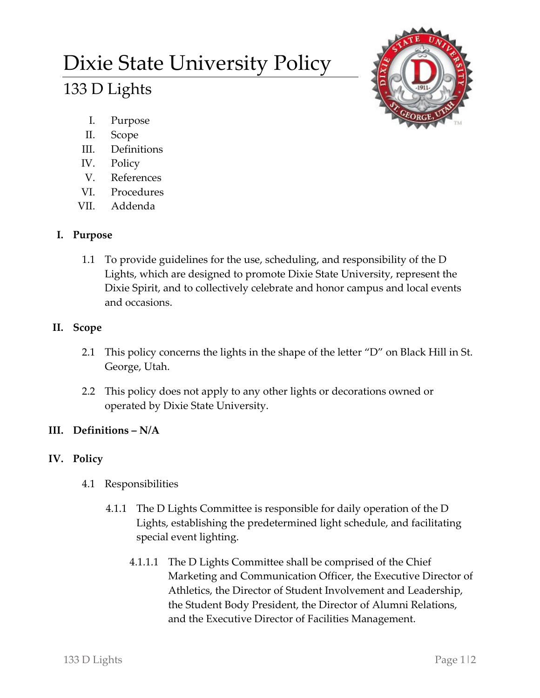# Dixie State University Policy 133 D Lights



- I. Purpose
- II. Scope
- III. Definitions
- IV. Policy
- V. References
- VI. Procedures
- VII. Addenda

### **I. Purpose**

1.1 To provide guidelines for the use, scheduling, and responsibility of the D Lights, which are designed to promote Dixie State University, represent the Dixie Spirit, and to collectively celebrate and honor campus and local events and occasions.

## **II. Scope**

- 2.1 This policy concerns the lights in the shape of the letter "D" on Black Hill in St. George, Utah.
- 2.2 This policy does not apply to any other lights or decorations owned or operated by Dixie State University.

## **III. Definitions – N/A**

### **IV. Policy**

- 4.1 Responsibilities
	- 4.1.1 The D Lights Committee is responsible for daily operation of the D Lights, establishing the predetermined light schedule, and facilitating special event lighting.
		- 4.1.1.1 The D Lights Committee shall be comprised of the Chief Marketing and Communication Officer, the Executive Director of Athletics, the Director of Student Involvement and Leadership, the Student Body President, the Director of Alumni Relations, and the Executive Director of Facilities Management.